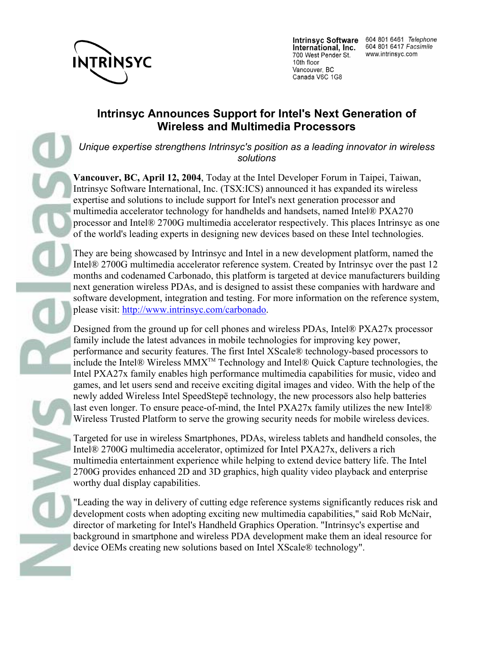

International, Inc. 700 West Pender St. 10th floor Vancouver, BC Canada V6C 1G8

Intrinsyc Software 604 801 6461 Telephone 604 801 6417 Facsimile www.intrinsyc.com

## **Intrinsyc Announces Support for Intel's Next Generation of Wireless and Multimedia Processors**

*Unique expertise strengthens Intrinsyc's position as a leading innovator in wireless solutions*

**Vancouver, BC, April 12, 2004**, Today at the Intel Developer Forum in Taipei, Taiwan, Intrinsyc Software International, Inc. (TSX:ICS) announced it has expanded its wireless expertise and solutions to include support for Intel's next generation processor and multimedia accelerator technology for handhelds and handsets, named Intel® PXA270 processor and Intel® 2700G multimedia accelerator respectively. This places Intrinsyc as one of the world's leading experts in designing new devices based on these Intel technologies.

They are being showcased by Intrinsyc and Intel in a new development platform, named the Intel® 2700G multimedia accelerator reference system. Created by Intrinsyc over the past 12 months and codenamed Carbonado, this platform is targeted at device manufacturers building next generation wireless PDAs, and is designed to assist these companies with hardware and software development, integration and testing. For more information on the reference system, please visit: http://www.intrinsyc.com/carbonado.

Designed from the ground up for cell phones and wireless PDAs, Intel® PXA27x processor family include the latest advances in mobile technologies for improving key power, performance and security features. The first Intel XScale® technology-based processors to include the Intel® Wireless MMXTM Technology and Intel® Quick Capture technologies, the Intel PXA27x family enables high performance multimedia capabilities for music, video and games, and let users send and receive exciting digital images and video. With the help of the newly added Wireless Intel SpeedStepë technology, the new processors also help batteries last even longer. To ensure peace-of-mind, the Intel PXA27x family utilizes the new Intel® Wireless Trusted Platform to serve the growing security needs for mobile wireless devices.

Targeted for use in wireless Smartphones, PDAs, wireless tablets and handheld consoles, the Intel® 2700G multimedia accelerator, optimized for Intel PXA27x, delivers a rich multimedia entertainment experience while helping to extend device battery life. The Intel 2700G provides enhanced 2D and 3D graphics, high quality video playback and enterprise worthy dual display capabilities.

"Leading the way in delivery of cutting edge reference systems significantly reduces risk and development costs when adopting exciting new multimedia capabilities," said Rob McNair, director of marketing for Intel's Handheld Graphics Operation. "Intrinsyc's expertise and background in smartphone and wireless PDA development make them an ideal resource for device OEMs creating new solutions based on Intel XScale® technology".